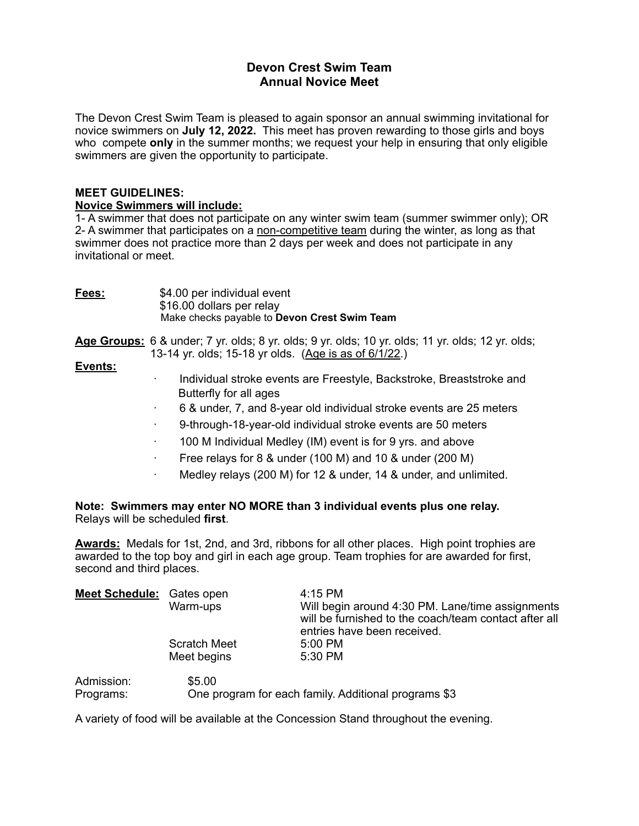## **Devon Crest Swim Team Annual Novice Meet**

The Devon Crest Swim Team is pleased to again sponsor an annual swimming invitational for novice swimmers on **July 12, 2022.** This meet has proven rewarding to those girls and boys who compete **only** in the summer months; we request your help in ensuring that only eligible swimmers are given the opportunity to participate.

### **MEET GUIDELINES:**

### **Novice Swimmers will include:**

1- A swimmer that does not participate on any winter swim team (summer swimmer only); OR 2- A swimmer that participates on a non-competitive team during the winter, as long as that swimmer does not practice more than 2 days per week and does not participate in any invitational or meet.

| Fees:   | \$4.00 per individual event<br>\$16.00 dollars per relay<br>Make checks payable to Devon Crest Swim Team                                                                                                                                                                                                                                                                                                                                      |
|---------|-----------------------------------------------------------------------------------------------------------------------------------------------------------------------------------------------------------------------------------------------------------------------------------------------------------------------------------------------------------------------------------------------------------------------------------------------|
| Events: | Age Groups: 6 & under; 7 yr. olds; 8 yr. olds; 9 yr. olds; 10 yr. olds; 11 yr. olds; 12 yr. olds;<br>13-14 yr. olds; 15-18 yr olds. (Age is as of 6/1/22.)                                                                                                                                                                                                                                                                                    |
|         | Individual stroke events are Freestyle, Backstroke, Breaststroke and<br>٠<br>Butterfly for all ages<br>6 & under, 7, and 8-year old individual stroke events are 25 meters<br>9-through-18-year-old individual stroke events are 50 meters<br>100 M Individual Medley (IM) event is for 9 yrs. and above<br>Free relays for 8 & under (100 M) and 10 & under (200 M)<br>٠<br>Medley relays (200 M) for 12 & under, 14 & under, and unlimited. |
|         | Note: Swimmers may enter NO MORE than 3 individual events plus one relay.<br>Relays will be scheduled first.                                                                                                                                                                                                                                                                                                                                  |

**Awards:** Medals for 1st, 2nd, and 3rd, ribbons for all other places. High point trophies are awarded to the top boy and girl in each age group. Team trophies for are awarded for first, second and third places.

| <b>Meet Schedule:</b> Gates open | Warm-ups                           | $4:15$ PM<br>Will begin around 4:30 PM. Lane/time assignments<br>will be furnished to the coach/team contact after all<br>entries have been received. |
|----------------------------------|------------------------------------|-------------------------------------------------------------------------------------------------------------------------------------------------------|
|                                  | <b>Scratch Meet</b><br>Meet begins | 5:00 PM<br>5:30 PM                                                                                                                                    |
| Admission:<br>Programs:          | \$5.00                             | One program for each family. Additional programs \$3                                                                                                  |

A variety of food will be available at the Concession Stand throughout the evening.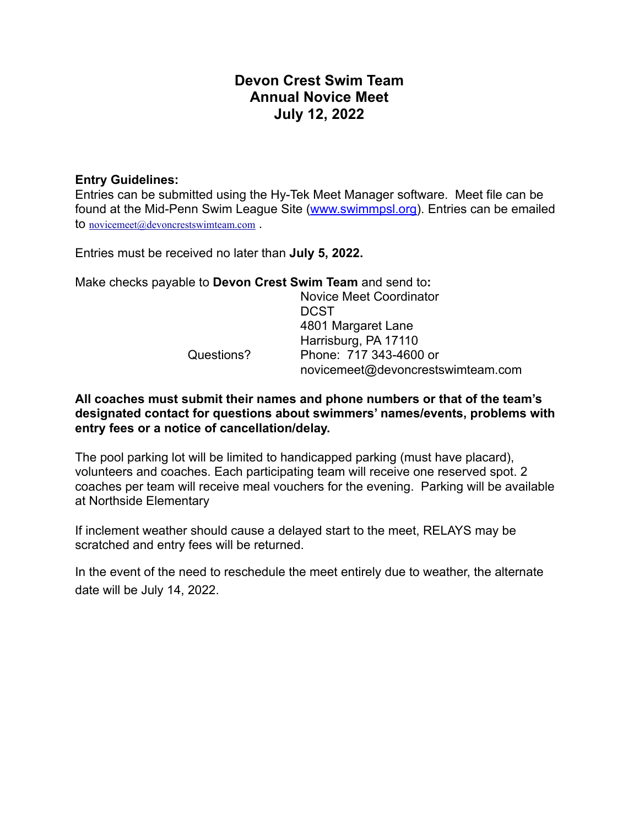# **Devon Crest Swim Team Annual Novice Meet July 12, 2022**

## **Entry Guidelines:**

Entries can be submitted using the Hy-Tek Meet Manager software. Meet file can be found at the Mid-Penn Swim League Site [\(www.swimmpsl.org](http://www.swimmpsl.org)). Entries can be emailed to [novicemeet@devoncrestswimteam.com](mailto:novicemeet@devoncrestswimteam.com) .

Entries must be received no later than **July 5, 2022.** 

Make checks payable to **Devon Crest Swim Team** and send to**:** 

 Novice Meet Coordinator **DCST**  4801 Margaret Lane Harrisburg, PA 17110 Questions? Phone: 717 343-4600 or novicemeet@devoncrestswimteam.com

**All coaches must submit their names and phone numbers or that of the team's designated contact for questions about swimmers' names/events, problems with entry fees or a notice of cancellation/delay.**

The pool parking lot will be limited to handicapped parking (must have placard), volunteers and coaches. Each participating team will receive one reserved spot. 2 coaches per team will receive meal vouchers for the evening. Parking will be available at Northside Elementary

If inclement weather should cause a delayed start to the meet, RELAYS may be scratched and entry fees will be returned.

In the event of the need to reschedule the meet entirely due to weather, the alternate date will be July 14, 2022.